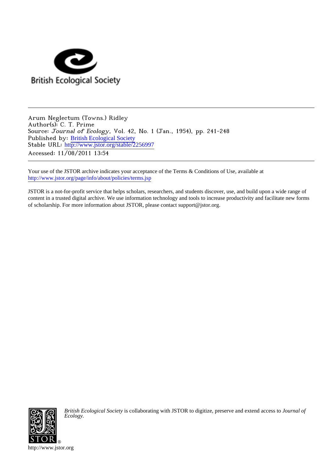

Arum Neglectum (Towns.) Ridley Author(s): C. T. Prime Source: Journal of Ecology, Vol. 42, No. 1 (Jan., 1954), pp. 241-248 Published by: [British Ecological Society](http://www.jstor.org/action/showPublisher?publisherCode=briteco) Stable URL: [http://www.jstor.org/stable/2256997](http://www.jstor.org/stable/2256997?origin=JSTOR-pdf) Accessed: 11/08/2011 13:54

Your use of the JSTOR archive indicates your acceptance of the Terms & Conditions of Use, available at <http://www.jstor.org/page/info/about/policies/terms.jsp>

JSTOR is a not-for-profit service that helps scholars, researchers, and students discover, use, and build upon a wide range of content in a trusted digital archive. We use information technology and tools to increase productivity and facilitate new forms of scholarship. For more information about JSTOR, please contact support@jstor.org.



*British Ecological Society* is collaborating with JSTOR to digitize, preserve and extend access to *Journal of Ecology.*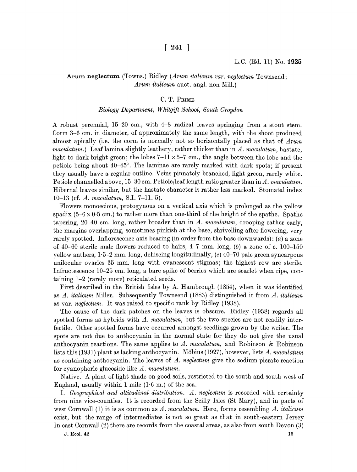# $[ 241 ]$

# Arum neglectum (Towns.) Ridley (Arum italicum var. neglectum Townsend; Arum italicum auct. angl. non Mill.)

#### C. T. PRIME

#### Biology Department, Whitgift School, South Croydon

A robust perennial, 15-20 cm., with 4-8 radical leaves springing from a stout stem. Corm 3-6 cm. in diameter, of approximately the same length, with the shoot produced almost apically (i.e. the corm is normally not so horizontally placed as that of Arum maculatum.) Leaf lamina slightly leathery, rather thicker than in  $A$ . maculatum, hastate, light to dark bright green; the lobes  $7-11 \times 5-7$  cm., the angle between the lobe and the petiole being about 40-45?. The laminae are rarely marked with dark spots; if present they usually have a regular outline. Veins pinnately branched, light green, rarely white. Petiole channelled above, 15-30 cm. Petiole/leaf length ratio greater than in A. maculatum. Hibernal leaves similar, but the hastate character is rather less marked. Stomatal index 10-13 (cf. A. maculatum, S.I. 7-11. 5).

Flowers monoecious, protogynous on a vertical axis which is prolonged as the yellow spadix  $(5-6 \times 0.5 \text{ cm})$  to rather more than one-third of the height of the spathe. Spathe tapering, 20–40 cm. long, rather broader than in A. maculatum, drooping rather early, the margins overlapping, sometimes pinkish at the base, shrivelling after flowering, very rarely spotted. Inflorescence axis bearing (in order from the base downwards):  $(a)$  a zone of 40–60 sterile male flowers reduced to hairs,  $4-7$  mm. long, (b) a zone of c. 100–150 yellow anthers, 1-5-2 mm. long, dehiscing longitudinally, (c) 40-70 pale green syncarpous unilocular ovaries 35 mm. long with evanescent stigmas; the highest row are sterile. Infructescence 10-25 cm. long, a bare spike of berries which are scarlet when ripe, containing 1-2 (rarely more) reticulated seeds.

First described in the British Isles by A. Hambrough (1854), when it was identified as A. italicum Miller. Subsequently Townsend (1883) distinguished it from A. italicum as var. neglectum. It was raised to specific rank by Ridley (1938).

The cause of the dark patches on the leaves is obscure. Ridley (1938) regards all spotted forms as hybrids with A. maculatum, but the two species are not readily interfertile. Other spotted forms have occurred amongst seedlings grown by the writer. The spots are not due to anthocyanin in the normal state for they do not give the usual anthocyanin reactions. The same applies to A. maculatum, and Robinson & Robinson lists this  $(1931)$  plant as lacking anthocyanin. Möbius  $(1927)$ , however, lists A. maculatum as containing anthocyanin. The leaves of  $A$ , neglectum give the sodium picrate reaction for cyanophoric glucoside like A. maculatum.

Native. A plant of light shade on good soils, restricted to the south and south-west of England, usually within 1 mile  $(1.6 \text{ m.})$  of the sea.

I. Geographical and altitudinal distribution. A. neglectum is recorded with certainty from nine vice-counties. It is recorded from the Scilly Isles (St Mary), and in parts of west Cornwall (1) it is as common as A. maculatum. Here, forms resembling A. *italicum* exist, but the range of intermediates is not so great as that in south-eastern Jersey In east Cornwall (2) there are records from the coastal areas, as also from south Devon (3)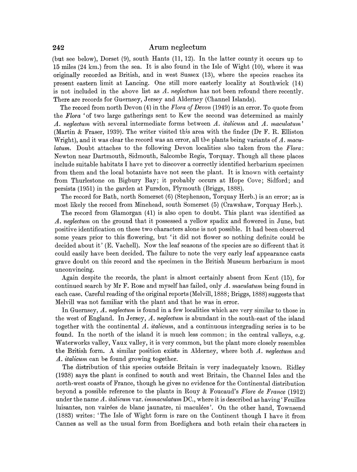(but see below), Dorset (9), south Hants (11, 12). In the latter county it occurs up to 15 miles (24 km.) from the sea. It is also found in the Isle of Wight (10), where it was originally recorded as British, and in west Sussex (13), where the species reaches its present eastern limit at Lancing. One still more easterly locality at Southwick (14) is not included in the above list as  $A$ . neglectum has not been refound there recently. There are records for Guernsey, Jersey and Alderney (Channel Islands).

The record from north Devon (4) in the Flora of Devon (1949) is an error. To quote from the Flora 'of two large gatherings sent to Kew the second was determined as mainly A. neglectum with several intermediate forms between A. italicum and A. maculatum' (Martin & Fraser, 1939). The writer visited this area with the finder (Dr F. R. Elliston Wright), and it was clear the record was an error, all the plants being variants of  $\Lambda$ . maculatum. Doubt attaches to the following Devon localities also taken from the Flora: Newton near Dartmouth, Sidmouth, Salcombe Regis, Torquay. Though all these places include suitable habitats I have yet to discover a correctly identified herbarium specimen from them and the local botanists have not seen the plant. It is known with certainty from Thurlestone on Bigbury Bay; it probably occurs at Hope Cove; Sidford; and persists (1951) in the garden at Fursdon, Plymouth (Briggs, 1888).

The record for Bath, north Somerset (6) (Stephenson, Torquay Herb.) is an error; as is most likely the record from Minehead, south Somerset (5) (Crawshaw, Torquay Herb.).

The record from Glamorgan (41) is also open to doubt. This plant was identified as A. neglectum on the ground that it possessed a yellow spadix and flowered in June, but positive identification on these two characters alone is not possible. It had been observed some years prior to this flowering, but 'it did not flower so nothing definite could be decided about it' (E. Vachell). Now the leaf seasons of the species are so different that it could easily have been decided. The failure to note the very early leaf appearance casts grave doubt on this record and the specimen in the British Museum herbarium is most unconvincing.

Again despite the records, the plant is almost certainly absent from Kent (15), for continued search by Mr F. Rose and myself has failed, only A. maculatum being found in each case. Careful reading of the original reports (Melvill, 1888; Briggs, 1888) suggests that Melvill was not familiar with the plant and that he was in error.

In Guernsey, A. neglectum is found in a few localities which are very similar to those in the west of England. In Jersey,  $A.$  neglectum is abundant in the south-east of the island together with the continental A. italicum, and a continuous intergrading series is to be found. In the north of the island it is much less common; in the central valleys, e.g. Waterworks valley, Vaux valley, it is very common, but the plant more closely resembles the British form. A similar position exists in Alderney, where both A. neglectum and A. italicum can be found growing together.

The distribution of this species outside Britain is very inadequately known. Ridley (1938) says the plant is confined to south and west Britain, the Channel Isles and the north-west coasts of France, though he gives no evidence for the Continental distribution beyond a possible reference to the plants in Rouy & Foucaud's Flore de France  $(1912)$ under the name A. *italicum* var. *immaculatum* DC, where it is described as having 'Feuilles luisantes, non vair6es de blanc jaunatre, ni maculees'. On the other hand, Townsend (1883) writes: 'The Isle of Wight form is rare on the Continent though I have it from Cannes as well as the usual form from Bordighera and both retain their characters in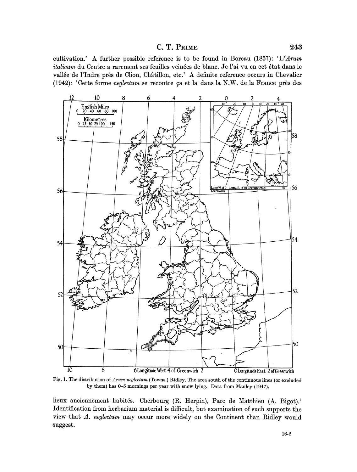# C. T. PRIME 243

cultivation.' A further possible reference is to be found in Boreau (1857): 'L'Arum italicum du Centre a rarement ses feuilles veinées de blanc. Je l'ai vu en cet état dans le vallee de l'Indre pres de Clion, Chatillon, etc.' A definite reference occurs in Chevalier (1942): 'Cette forme neglectum se recontre 9a et la dans la N.W. de la France pres des



Fig. 1. The distribution of Arum neglectum (Towns.) Ridley. The area south of the continuous lines (or excluded by them) has 0-5 mornings per year with snow lying. Data from Manley (1947).

lieux anciennement habites. Cherbourg (R. Herpin), Parc de Matthieu (A. Bigot).' Identification from herbarium material is difficult, but examination of such supports the view that A. neglectum may occur more widely on the Continent than Ridley would suggest.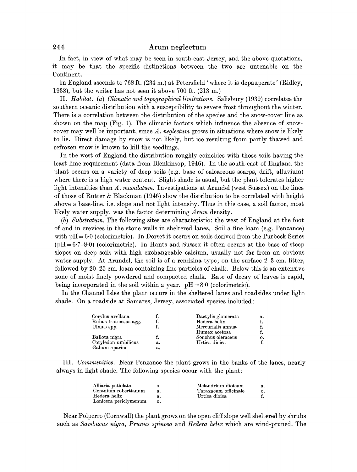In fact, in view of what may be seen in south-east Jersey, and the above quotations, it may be that the specific distinctions between the two are untenable on the Continent.

In England ascends to 768 ft. (234 m.) at Petersfield 'where it is depauperate' (Ridley, 1938), but the writer has not seen it above 700 ft. (213 m.)

II. Habitat. (a) Climatic and topographical limitations. Salisbury (1939) correlates the southern oceanic distribution with a susceptibility to severe frost throughout the winter. There is a correlation between the distribution of the species and the snow-cover line as shown on the map (Fig. 1). The climatic factors which influence the absence of snowcover may well be important, since A. neglectum grows in situations where snow is likely to lie. Direct damage by snow is not likely, but ice resulting from partly thawed and refrozen snow is known to kill the seedlings.

In the west of England the distribution roughly coincides with those soils having the least lime requirement (data from Blenkinsop, 1946). In the south-east of England the plant occurs on a variety of deep soils (e.g. base of calcareous scarps, drift, alluvium) where there is a high water content. Slight shade is usual, but the plant tolerates higher light intensities than A. maculatum. Investigations at Arundel (west Sussex) on the lines of those of Rutter & Blackman (1946) show the distribution to be correlated with height above a base-line, i.e. slope and not light intensity. Thus in this case, a soil factor, most likely water supply, was the factor determining Arum density.

(b) Substratum. The following sites are characteristic: the west of England at the foot of and in crevices in the stone walls in sheltered lanes. Soil a fine loam (e.g. Penzance) with  $pH = 6.0$  (colorimetric). In Dorset it occurs on soils derived from the Purbeck Series  $(pH=6.7-8.0)$  (colorimetric). In Hants and Sussex it often occurs at the base of steep slopes on deep soils with high exchangeable calcium, usually not far from an obvious water supply. At Arundel, the soil is of a rendzina type; on the surface 2-3 cm. litter, followed by 20-25 cm. loam containing fine particles of chalk. Below this is an extensive zone of moist finely powdered and compacted chalk. Rate of decay of leaves is rapid, being incorporated in the soil within a year.  $pH = 8.0$  (colorimetric).

In the Channel Isles the plant occurs in the sheltered lanes and roadsides under light shade. On a roadside at Samares, Jersey, associated species included:

|    |                   | а.                 |
|----|-------------------|--------------------|
|    | Hedera helix      |                    |
|    | Mercurialis annua |                    |
|    | Rumex acetosa     |                    |
|    | Sonchus oleraceus | о.                 |
| а. | Urtica dioica     |                    |
| a. |                   |                    |
|    |                   | Dactylis glomerata |

III. Communities. Near Penzance the plant grows in the banks of the lanes, nearly always in light shade. The following species occur with the plant:

| Alliaria petiolata    | а. | Melandrium dioicum   | а.             |
|-----------------------|----|----------------------|----------------|
| Geranium robertianum  | а. | Taraxacum officinale | $\mathbf{o}$ . |
| Hedera helix          | а. | Urtica dioica        |                |
| Lonicera periclymenum | о. |                      |                |

Near Polperro (Cornwall) the plant grows on the open cliff slope well sheltered by shrubs such as Sambucus nigra, Prunus spinosa and Hedera helix which are wind-pruned. The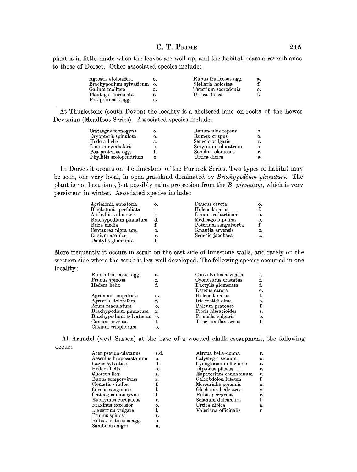# C. T. PRIME 245

plant is in little shade when the leaves are well up, and the habitat bears a resemblance to those of Dorset. Other associated species include:

| Agrostis stolonifera    |           | Rubus fruticosus agg. | а. |
|-------------------------|-----------|-----------------------|----|
| Brachypodium sylvaticum | $\circ$ . | Stellaria holostea    |    |
| Galium mollugo          | о.        | Teucrium scorodonia   | о. |
| Plantago lanceolata     | r.        | Urtica dioica         |    |
| Poa pratensis agg.      | о.        |                       |    |
|                         |           |                       |    |

At Thurlestone (south Devon) the locality is a sheltered lane on rocks of the Lower Devonian (Meadfoot Series). Associated species include:

| Crataegus monogyna      | о. | Ranunculus repens  | о. |
|-------------------------|----|--------------------|----|
| Dryopteris spinulosa    | о. | Rumex crispus      | о. |
| Hedera helix            | а. | Senecio vulgaris   | r. |
| Linaria cymbalaria      | о. | Smyrnium olusatrum | a. |
| Poa pratensis agg.      |    | Sonchus oleraceus  | r. |
| Phyllitis scolopendrium | о. | Urtica dioica      | а. |
|                         |    |                    |    |

In Dorset it occurs on the limestone of the Purbeck Series. Two types of habitat may be seen, one very local, in open grassland dominated by Brachypodium pinnatum. The plant is not luxuriant, but possibly gains protection from the B. pinnatum, which is very persistent in winter. Associated species include:

| Agrimonia eupatoria    | о. | Daucus carota        | о.                     |
|------------------------|----|----------------------|------------------------|
| Blackstonia perfoliata | r. | Holcus lanatus       |                        |
| Anthyllis vulneraria   | r. | Linum catharticum    | $\mathbf{o}$ .         |
| Brachypodium pinnatum  | d. | Medicago lupulina    | о.                     |
| Briza media            |    | Poterium sanguisorba | f.                     |
| Centaurea nigra agg.   | о. | Knautia arvensis     | $\mathbf{o}$ .         |
| Cirsium acaulos        | r. | Senecio jacobaea     | $\mathbf{o}_{\bullet}$ |
| Dactylis glomerata     |    |                      |                        |
|                        |    |                      |                        |

More frequently it occurs in scrub on the east side of limestone walls, and rarely on the western side where the scrub is less well developed. The following species occurred in one locality:

| Rubus fruticosus agg.      | а. | Convolvulus arvensis |    |
|----------------------------|----|----------------------|----|
| Prunus spinosa             | f. | Cyonosurus cristatus | f. |
| Hedera helix               | f. | Dactylis glomerata   | f. |
|                            |    | Daucus carota        | о. |
| Agrimonia eupatoria        | о. | Holcus lanatus       | f. |
| Agrostis stolonifera       | f. | Iris foetidissima    | о. |
| Arum maculatum             | о. | Phleum pratense      | f. |
| Brachypodium pinnatum      | r. | Picris hieracioides  | r. |
| Brachypodium sylvaticum o. |    | Prunella vulgaris    | о. |
| Cirsium arvense            | f. | Trisetum flavescens  | f. |
| Cirsium eriophorum         | о. |                      |    |
|                            |    |                      |    |

At Arundel (west Sussex) at the base of a wooded chalk escarpment, the following occur:

| Acer pseudo-platanus   | s.d. | Atropa bella-donna     | r.             |
|------------------------|------|------------------------|----------------|
| Aesculus hippocastanum | о.   | Calystegia sepium      | $\mathbf{o}$ . |
| Fagus sylvatica        | d.   | Cynoglossum officinale | r.             |
| Hedera helix           | о.   | Dipsacus pilosus       | r.             |
| Quercus ilex           | r.   | Eupatorium cannabinum  | r.             |
| Buxus sempervirens     | r.   | Galeobdolon luteum     | f.             |
| Clematis vitalba       |      | Mercurialis perennis   | a.             |
| Cornus sanguinea       |      | Glechoma hederacea     | a.             |
| Crataegus monogyna     | f.   | Rubia peregrina        | r.             |
| Euonymus europaeus     | r.   | Solanum dulcamara      | f.             |
| Fraxinus excelsior     | о.   | Urtica dioica          | a.             |
| Ligustrum vulgare      | ı.   | Valeriana officinalis  | r              |
| Prunus spinosa         | r.   |                        |                |
| Rubus fruticosus agg.  | 0.   |                        |                |
| Sambucus nigra         | a.   |                        |                |
|                        |      |                        |                |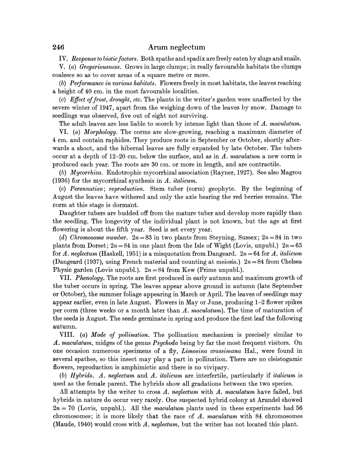IV. Response to biotic factors. Both spathe and spadix are freely eaten by slugs and snails.

V. (a) Gregariousness. Grows in large clumps; in really favourable habitats the clumps coalesce so as to cover areas of a square metre or more.

(b) Performance in various habitats. Flowers freely in most habitats, the leaves reaching a height of 40 cm. in the most favourable localities.

(c) Effect of frost, drought, etc. The plants in the writer's garden were unaffected by the severe winter of 1947, apart from the weighing down of the leaves by snow. Damage to seedlings was observed, five out of eight not surviving.

The adult leaves are less liable to scorch by intense light than those of A. maculatum.

VI. (a) Morphology. The corms are slow-growing, reaching a maximum diameter of 4 cm. and contain raphides. They produce roots in September or October, shortly afterwards a shoot, and the hibernal leaves are fully expanded by late October. The tubers occur at a depth of  $12-20$  cm. below the surface, and as in A. maculatum a new corm is produced each year. The roots are 30 cm. or more in length, and are contractile.

(b) Mycorrhiza. Endotrophic mycorrhizal association (Rayner, 1927). See also Magrou (1936) for the mycorrhizal synthesis in A. italicum.

(c) Perennation; reproduction. Stem tuber (corm) geophyte. By the beginning of August the leaves have withered and only the axis bearing the red berries remains. The corm at this stage is dormant.

Daughter tubers are budded off from the mature tuber and develop more rapidly than the seedling. The longevity of the individual plant is not known, but the age at first flowering is about the fifth year. Seed is set every year.

(d) Chromosome number.  $2n = 83$  in two plants from Stevning, Sussex;  $2n = 84$  in two plants from Dorset;  $2n = 84$  in one plant from the Isle of Wight (Lovis, unpubl.)  $2n = 63$ for A. neglectum (Haskell, 1951) is a misquotation from Dangeard.  $2n = 64$  for A. *italicum* (Dangeard (1937), using French material and counting at meiosis.)  $2n = 84$  from Chelsea Physic garden (Lovis unpubl.).  $2n = 84$  from Kew (Prime unpubl.).

VII. Phenology. The roots are first produced in early autumn and maximum growth of the tuber occurs in spring. The leaves appear above ground in autumn (late September or October), the summer foliage appearing in March or April. The leaves of seedlings may appear earlier, even in late August. Flowers in May or June, producing 1-2 flower spikes per corm (three weeks or a month later than A. maculatum). The time of maturation of the seeds is August. The seeds germinate in spring and produce the first leaf the following autumn.

VIII. (a) Mode of pollination. The pollination mechanism is precisely similar to A. maculatum, midges of the genus Psychoda being by far the most frequent visitors. On one occasion numerous specimens of a fly, Limosina crassimana Hal., were found in several spathes, so this insect may play a part in pollination. There are no cleistogamic flowers, reproduction is amphimictic and there is no vivipary.

(b) Hybrids. A. neglectum and A. italicum are interfertile, particularly if *italicum* is used as the female parent. The hybrids show all gradations between the two species.

All attempts by the writer to cross A. neglectum with A. maculatum have failed, but hybrids in nature do occur very rarely. One suspected hybrid colony at Arundel showed  $2n = 70$  (Lovis, unpubl.). All the *maculatum* plants used in these experiments had 56 chromosomes; it is more likely that the race of A. maculatum with 84 chromosomes (Maude, 1940) would cross with A. neglectum, but the writer has not located this plant.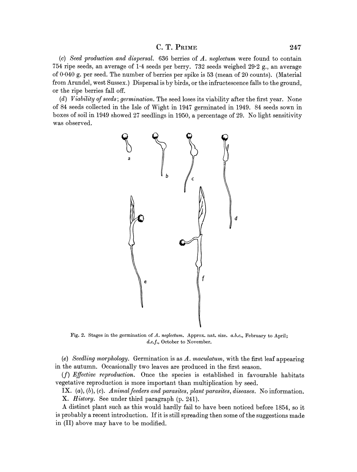## $C. T. P<sub>RIME</sub> 247$

(c) Seed production and dispersal. 636 berries of A. neglectum were found to contain 754 ripe seeds, an average of 1-4 seeds per berry. 732 seeds weighed 29-2 g., an average of 0-040 g. per seed. The number of berries per spike is 53 (mean of 20 counts). (Material from Arundel, west Sussex.) Dispersal is by birds, or the infructescence falls to the ground, or the ripe berries fall off.

(d) Viability of seeds; germination. The seed loses its viability after the first year. None of 84 seeds collected in the Isle of Wight in 1947 germinated in 1949. 84 seeds sown in boxes of soil in 1949 showed 27 seedlings in 1950, a percentage of 29. No light sensitivity was observed.



Fig. 2. Stages in the germination of A. neglectum. Approx. nat. size. a.b.c., February to April; d.e.f., October to November.

(e) Seedling morphology. Germination is as A. maculatum, with the first leaf appearing in the autumn. Occasionally two leaves are produced in the first season.

 $(f)$  Effective reproduction. Once the species is established in favourable habitats vegetative reproduction is more important than multiplication by seed.

IX.  $(a)$ ,  $(b)$ ,  $(c)$ . Animal feeders and parasites, plant parasites, diseases. No information. X. History. See under third paragraph (p. 241).

A distinct plant such as this would hardly fail to have been noticed before 1854, so it is probably a recent introduction. If it is still spreading then some of the suggestions made in (II) above may have to be modified.